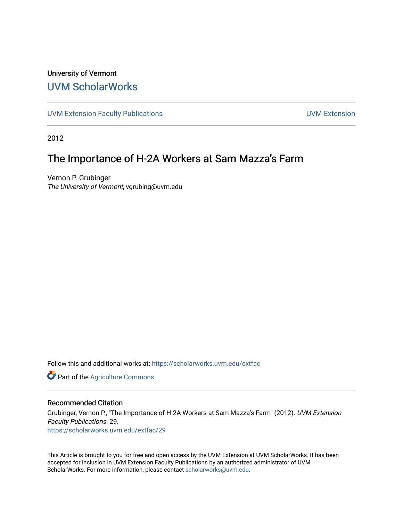## University of Vermont [UVM ScholarWorks](https://scholarworks.uvm.edu/)

[UVM Extension Faculty Publications](https://scholarworks.uvm.edu/extfac) **COVID-100 COVID-100 COVID-100 COVID-100 COVID-100 COVID-100 COVID-100 COVID-**

2012

## The Importance of H-2A Workers at Sam Mazza's Farm

Vernon P. Grubinger The University of Vermont, vgrubing@uvm.edu

Follow this and additional works at: [https://scholarworks.uvm.edu/extfac](https://scholarworks.uvm.edu/extfac?utm_source=scholarworks.uvm.edu%2Fextfac%2F29&utm_medium=PDF&utm_campaign=PDFCoverPages) 

**Part of the [Agriculture Commons](http://network.bepress.com/hgg/discipline/1076?utm_source=scholarworks.uvm.edu%2Fextfac%2F29&utm_medium=PDF&utm_campaign=PDFCoverPages)** 

## Recommended Citation

Grubinger, Vernon P., "The Importance of H-2A Workers at Sam Mazza's Farm" (2012). UVM Extension Faculty Publications. 29. [https://scholarworks.uvm.edu/extfac/29](https://scholarworks.uvm.edu/extfac/29?utm_source=scholarworks.uvm.edu%2Fextfac%2F29&utm_medium=PDF&utm_campaign=PDFCoverPages)

This Article is brought to you for free and open access by the UVM Extension at UVM ScholarWorks. It has been accepted for inclusion in UVM Extension Faculty Publications by an authorized administrator of UVM ScholarWorks. For more information, please contact [scholarworks@uvm.edu](mailto:scholarworks@uvm.edu).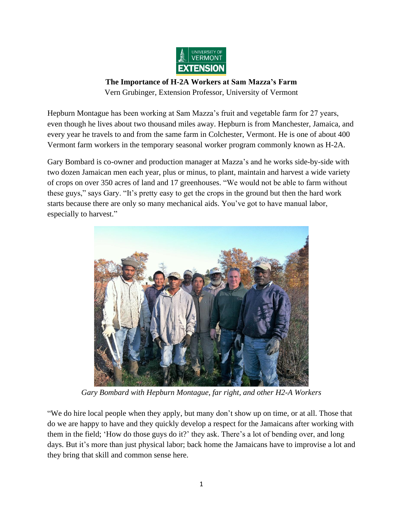

## **The Importance of H-2A Workers at Sam Mazza's Farm** Vern Grubinger, Extension Professor, University of Vermont

Hepburn Montague has been working at Sam Mazza's fruit and vegetable farm for 27 years, even though he lives about two thousand miles away. Hepburn is from Manchester, Jamaica, and every year he travels to and from the same farm in Colchester, Vermont. He is one of about 400 Vermont farm workers in the temporary seasonal worker program commonly known as H-2A.

Gary Bombard is co-owner and production manager at Mazza's and he works side-by-side with two dozen Jamaican men each year, plus or minus, to plant, maintain and harvest a wide variety of crops on over 350 acres of land and 17 greenhouses. "We would not be able to farm without these guys," says Gary. "It's pretty easy to get the crops in the ground but then the hard work starts because there are only so many mechanical aids. You've got to have manual labor, especially to harvest."



*Gary Bombard with Hepburn Montague, far right, and other H2-A Workers*

"We do hire local people when they apply, but many don't show up on time, or at all. Those that do we are happy to have and they quickly develop a respect for the Jamaicans after working with them in the field; 'How do those guys do it?' they ask. There's a lot of bending over, and long days. But it's more than just physical labor; back home the Jamaicans have to improvise a lot and they bring that skill and common sense here.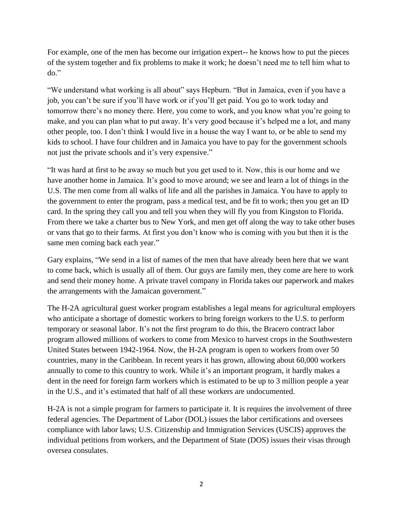For example, one of the men has become our irrigation expert-- he knows how to put the pieces of the system together and fix problems to make it work; he doesn't need me to tell him what to do."

"We understand what working is all about" says Hepburn. "But in Jamaica, even if you have a job, you can't be sure if you'll have work or if you'll get paid. You go to work today and tomorrow there's no money there. Here, you come to work, and you know what you're going to make, and you can plan what to put away. It's very good because it's helped me a lot, and many other people, too. I don't think I would live in a house the way I want to, or be able to send my kids to school. I have four children and in Jamaica you have to pay for the government schools not just the private schools and it's very expensive."

"It was hard at first to be away so much but you get used to it. Now, this is our home and we have another home in Jamaica. It's good to move around; we see and learn a lot of things in the U.S. The men come from all walks of life and all the parishes in Jamaica. You have to apply to the government to enter the program, pass a medical test, and be fit to work; then you get an ID card. In the spring they call you and tell you when they will fly you from Kingston to Florida. From there we take a charter bus to New York, and men get off along the way to take other buses or vans that go to their farms. At first you don't know who is coming with you but then it is the same men coming back each year."

Gary explains, "We send in a list of names of the men that have already been here that we want to come back, which is usually all of them. Our guys are family men, they come are here to work and send their money home. A private travel company in Florida takes our paperwork and makes the arrangements with the Jamaican government."

The H-2A agricultural guest worker program establishes a legal means for agricultural employers who anticipate a shortage of domestic workers to bring foreign workers to the U.S. to perform temporary or seasonal labor. It's not the first program to do this, the Bracero contract labor program allowed millions of workers to come from Mexico to harvest crops in the Southwestern United States between 1942-1964. Now, the H-2A program is open to workers from over 50 countries, many in the Caribbean. In recent years it has grown, allowing about 60,000 workers annually to come to this country to work. While it's an important program, it hardly makes a dent in the need for foreign farm workers which is estimated to be up to 3 million people a year in the U.S., and it's estimated that half of all these workers are undocumented.

H-2A is not a simple program for farmers to participate it. It is requires the involvement of three federal agencies. The Department of Labor (DOL) issues the labor certifications and oversees compliance with labor laws; U.S. Citizenship and Immigration Services (USCIS) approves the individual petitions from workers, and the Department of State (DOS) issues their visas through oversea consulates.